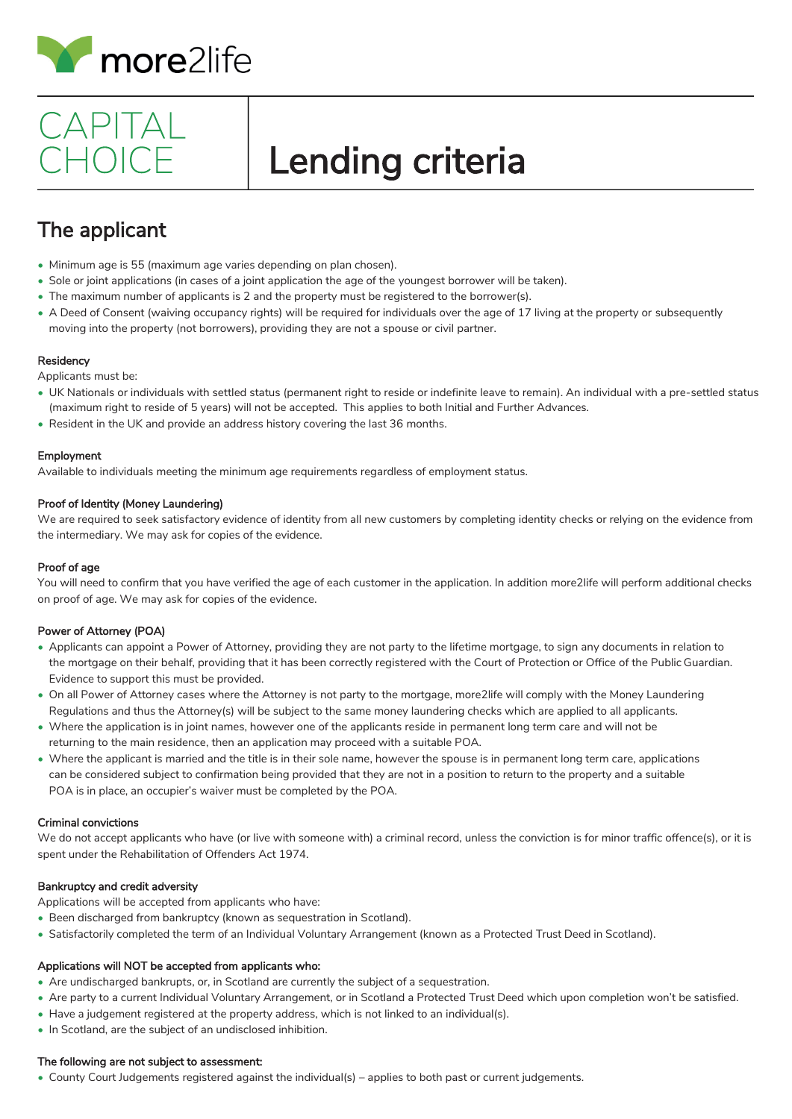

## CAPITAL CHOICE

# Lending criteria

### The applicant

- Minimum age is 55 (maximum age varies depending on plan chosen).
- Sole or joint applications (in cases of a joint application the age of the youngest borrower will be taken).
- The maximum number of applicants is 2 and the property must be registered to the borrower(s).
- A Deed of Consent (waiving occupancy rights) will be required for individuals over the age of 17 living at the property or subsequently moving into the property (not borrowers), providing they are not a spouse or civil partner.

### **Residency**

Applicants must be:

- UK Nationals or individuals with settled status (permanent right to reside or indefinite leave to remain). An individual with a pre-settled status (maximum right to reside of 5 years) will not be accepted. This applies to both Initial and Further Advances.
- Resident in the UK and provide an address history covering the last 36 months.

### Employment

Available to individuals meeting the minimum age requirements regardless of employment status.

### Proof of Identity (Money Laundering)

We are required to seek satisfactory evidence of identity from all new customers by completing identity checks or relying on the evidence from the intermediary. We may ask for copies of the evidence.

### Proof of age

You will need to confirm that you have verified the age of each customer in the application. In addition more2life will perform additional checks on proof of age. We may ask for copies of the evidence.

### Power of Attorney (POA)

- Applicants can appoint a Power of Attorney, providing they are not party to the lifetime mortgage, to sign any documents in relation to the mortgage on their behalf, providing that it has been correctly registered with the Court of Protection or Office of the Public Guardian. Evidence to support this must be provided.
- On all Power of Attorney cases where the Attorney is not party to the mortgage, more2life will comply with the Money Laundering Regulations and thus the Attorney(s) will be subject to the same money laundering checks which are applied to all applicants.
- Where the application is in joint names, however one of the applicants reside in permanent long term care and will not be returning to the main residence, then an application may proceed with a suitable POA.
- Where the applicant is married and the title is in their sole name, however the spouse is in permanent long term care, applications can be considered subject to confirmation being provided that they are not in a position to return to the property and a suitable POA is in place, an occupier's waiver must be completed by the POA.

### Criminal convictions

We do not accept applicants who have (or live with someone with) a criminal record, unless the conviction is for minor traffic offence(s), or it is spent under the Rehabilitation of Offenders Act 1974.

### Bankruptcy and credit adversity

Applications will be accepted from applicants who have:

- Been discharged from bankruptcy (known as sequestration in Scotland).
- Satisfactorily completed the term of an Individual Voluntary Arrangement (known as a Protected Trust Deed in Scotland).

### Applications will NOT be accepted from applicants who:

- Are undischarged bankrupts, or, in Scotland are currently the subject of a sequestration.
- Are party to a current Individual Voluntary Arrangement, or in Scotland a Protected Trust Deed which upon completion won't be satisfied.
- Have a judgement registered at the property address, which is not linked to an individual(s).
- In Scotland, are the subject of an undisclosed inhibition.

### The following are not subject to assessment:

• County Court Judgements registered against the individual(s) – applies to both past or current judgements.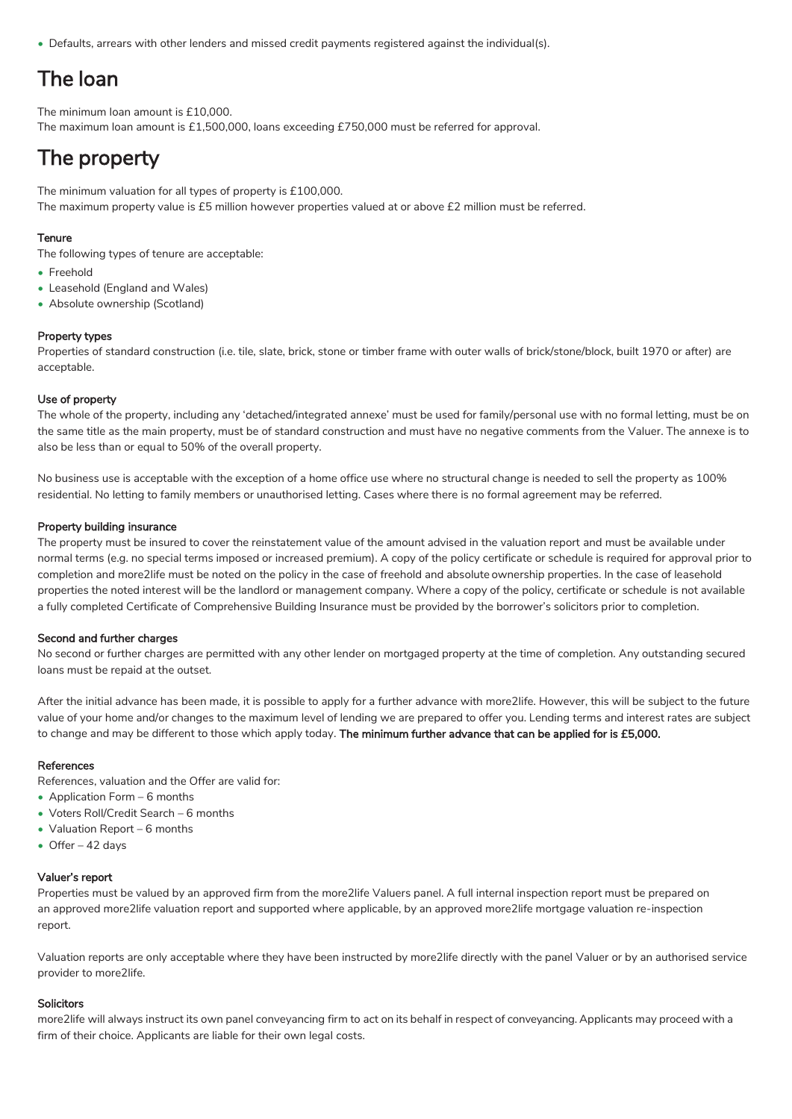• Defaults, arrears with other lenders and missed credit payments registered against the individual(s).

### The loan

The minimum loan amount is £10,000.

The maximum loan amount is £1,500,000, loans exceeding £750,000 must be referred for approval.

### The property

The minimum valuation for all types of property is £100,000. The maximum property value is £5 million however properties valued at or above £2 million must be referred.

### **Tenure**

The following types of tenure are acceptable:

- Freehold
- Leasehold (England and Wales)
- Absolute ownership (Scotland)

### Property types

Properties of standard construction (i.e. tile, slate, brick, stone or timber frame with outer walls of brick/stone/block, built 1970 or after) are acceptable.

### Use of property

The whole of the property, including any 'detached/integrated annexe' must be used for family/personal use with no formal letting, must be on the same title as the main property, must be of standard construction and must have no negative comments from the Valuer. The annexe is to also be less than or equal to 50% of the overall property.

No business use is acceptable with the exception of a home office use where no structural change is needed to sell the property as 100% residential. No letting to family members or unauthorised letting. Cases where there is no formal agreement may be referred.

### Property building insurance

The property must be insured to cover the reinstatement value of the amount advised in the valuation report and must be available under normal terms (e.g. no special terms imposed or increased premium). A copy of the policy certificate or schedule is required for approval prior to completion and more2life must be noted on the policy in the case of freehold and absolute ownership properties. In the case of leasehold properties the noted interest will be the landlord or management company. Where a copy of the policy, certificate or schedule is not available a fully completed Certificate of Comprehensive Building Insurance must be provided by the borrower's solicitors prior to completion.

### Second and further charges

No second or further charges are permitted with any other lender on mortgaged property at the time of completion. Any outstanding secured loans must be repaid at the outset.

After the initial advance has been made, it is possible to apply for a further advance with more2life. However, this will be subject to the future value of your home and/or changes to the maximum level of lending we are prepared to offer you. Lending terms and interest rates are subject to change and may be different to those which apply today. The minimum further advance that can be applied for is £5,000.

### References

References, valuation and the Offer are valid for:

- Application Form 6 months
- Voters Roll/Credit Search 6 months
- Valuation Report 6 months
- Offer 42 days

### Valuer's report

Properties must be valued by an approved firm from the more2life Valuers panel. A full internal inspection report must be prepared on an approved more2life valuation report and supported where applicable, by an approved more2life mortgage valuation re-inspection report.

Valuation reports are only acceptable where they have been instructed by more2life directly with the panel Valuer or by an authorised service provider to more2life.

### Solicitors

more2life will always instruct its own panel conveyancing firm to act on its behalf in respect of conveyancing. Applicants may proceed with a firm of their choice. Applicants are liable for their own legal costs.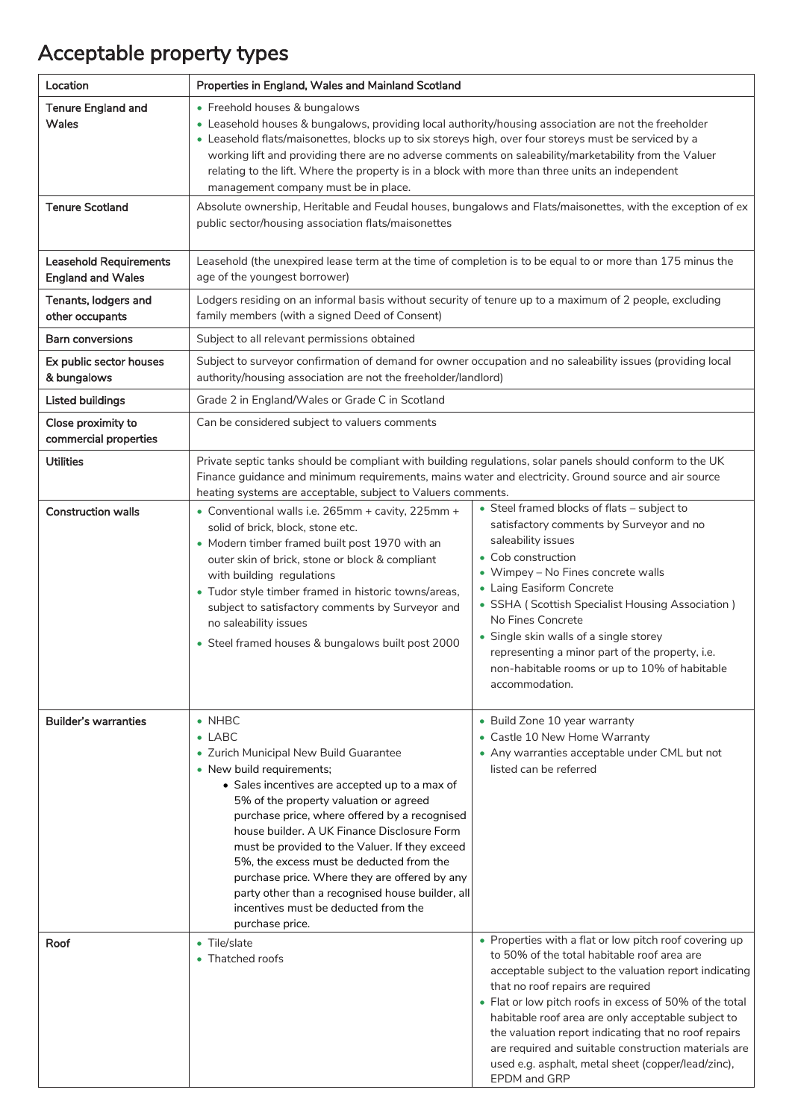### Acceptable property types

| Location                                                                          | Properties in England, Wales and Mainland Scotland                                                                                                                                                                                                                                                                                                                                                                                                                                                                                                                |                                                                                                                                                                                                                                                                                                                                                                                                                                                                                                            |  |
|-----------------------------------------------------------------------------------|-------------------------------------------------------------------------------------------------------------------------------------------------------------------------------------------------------------------------------------------------------------------------------------------------------------------------------------------------------------------------------------------------------------------------------------------------------------------------------------------------------------------------------------------------------------------|------------------------------------------------------------------------------------------------------------------------------------------------------------------------------------------------------------------------------------------------------------------------------------------------------------------------------------------------------------------------------------------------------------------------------------------------------------------------------------------------------------|--|
| <b>Tenure England and</b><br>Wales                                                | • Freehold houses & bungalows<br>• Leasehold houses & bungalows, providing local authority/housing association are not the freeholder<br>• Leasehold flats/maisonettes, blocks up to six storeys high, over four storeys must be serviced by a<br>working lift and providing there are no adverse comments on saleability/marketability from the Valuer<br>relating to the lift. Where the property is in a block with more than three units an independent<br>management company must be in place.                                                               |                                                                                                                                                                                                                                                                                                                                                                                                                                                                                                            |  |
| <b>Tenure Scotland</b>                                                            | Absolute ownership, Heritable and Feudal houses, bungalows and Flats/maisonettes, with the exception of ex<br>public sector/housing association flats/maisonettes                                                                                                                                                                                                                                                                                                                                                                                                 |                                                                                                                                                                                                                                                                                                                                                                                                                                                                                                            |  |
| <b>Leasehold Requirements</b><br><b>England and Wales</b><br>Tenants, lodgers and | Leasehold (the unexpired lease term at the time of completion is to be equal to or more than 175 minus the<br>age of the youngest borrower)<br>Lodgers residing on an informal basis without security of tenure up to a maximum of 2 people, excluding                                                                                                                                                                                                                                                                                                            |                                                                                                                                                                                                                                                                                                                                                                                                                                                                                                            |  |
| other occupants                                                                   | family members (with a signed Deed of Consent)                                                                                                                                                                                                                                                                                                                                                                                                                                                                                                                    |                                                                                                                                                                                                                                                                                                                                                                                                                                                                                                            |  |
| Barn conversions                                                                  | Subject to all relevant permissions obtained                                                                                                                                                                                                                                                                                                                                                                                                                                                                                                                      |                                                                                                                                                                                                                                                                                                                                                                                                                                                                                                            |  |
| Ex public sector houses<br>& bungalows                                            | Subject to surveyor confirmation of demand for owner occupation and no saleability issues (providing local<br>authority/housing association are not the freeholder/landlord)                                                                                                                                                                                                                                                                                                                                                                                      |                                                                                                                                                                                                                                                                                                                                                                                                                                                                                                            |  |
| <b>Listed buildings</b>                                                           | Grade 2 in England/Wales or Grade C in Scotland                                                                                                                                                                                                                                                                                                                                                                                                                                                                                                                   |                                                                                                                                                                                                                                                                                                                                                                                                                                                                                                            |  |
| Close proximity to<br>commercial properties                                       | Can be considered subject to valuers comments                                                                                                                                                                                                                                                                                                                                                                                                                                                                                                                     |                                                                                                                                                                                                                                                                                                                                                                                                                                                                                                            |  |
| <b>Utilities</b>                                                                  | Private septic tanks should be compliant with building regulations, solar panels should conform to the UK<br>Finance guidance and minimum requirements, mains water and electricity. Ground source and air source<br>heating systems are acceptable, subject to Valuers comments.                                                                                                                                                                                                                                                                                 |                                                                                                                                                                                                                                                                                                                                                                                                                                                                                                            |  |
| <b>Construction walls</b>                                                         | • Conventional walls i.e. 265mm + cavity, 225mm +<br>solid of brick, block, stone etc.<br>• Modern timber framed built post 1970 with an<br>outer skin of brick, stone or block & compliant<br>with building regulations<br>• Tudor style timber framed in historic towns/areas,<br>subject to satisfactory comments by Surveyor and<br>no saleability issues<br>• Steel framed houses & bungalows built post 2000                                                                                                                                                | • Steel framed blocks of flats - subject to<br>satisfactory comments by Surveyor and no<br>saleability issues<br>• Cob construction<br>• Wimpey - No Fines concrete walls<br>• Laing Easiform Concrete<br>• SSHA (Scottish Specialist Housing Association)<br>No Fines Concrete<br>• Single skin walls of a single storey<br>representing a minor part of the property, i.e.<br>non-habitable rooms or up to 10% of habitable<br>accommodation.                                                            |  |
| <b>Builder's warranties</b>                                                       | $\bullet$ NHBC<br>$\bullet$ LABC<br>• Zurich Municipal New Build Guarantee<br>• New build requirements;<br>• Sales incentives are accepted up to a max of<br>5% of the property valuation or agreed<br>purchase price, where offered by a recognised<br>house builder. A UK Finance Disclosure Form<br>must be provided to the Valuer. If they exceed<br>5%, the excess must be deducted from the<br>purchase price. Where they are offered by any<br>party other than a recognised house builder, all<br>incentives must be deducted from the<br>purchase price. | • Build Zone 10 year warranty<br>• Castle 10 New Home Warranty<br>• Any warranties acceptable under CML but not<br>listed can be referred                                                                                                                                                                                                                                                                                                                                                                  |  |
| Roof                                                                              | • Tile/slate<br>• Thatched roofs                                                                                                                                                                                                                                                                                                                                                                                                                                                                                                                                  | • Properties with a flat or low pitch roof covering up<br>to 50% of the total habitable roof area are<br>acceptable subject to the valuation report indicating<br>that no roof repairs are required<br>• Flat or low pitch roofs in excess of 50% of the total<br>habitable roof area are only acceptable subject to<br>the valuation report indicating that no roof repairs<br>are required and suitable construction materials are<br>used e.g. asphalt, metal sheet (copper/lead/zinc),<br>EPDM and GRP |  |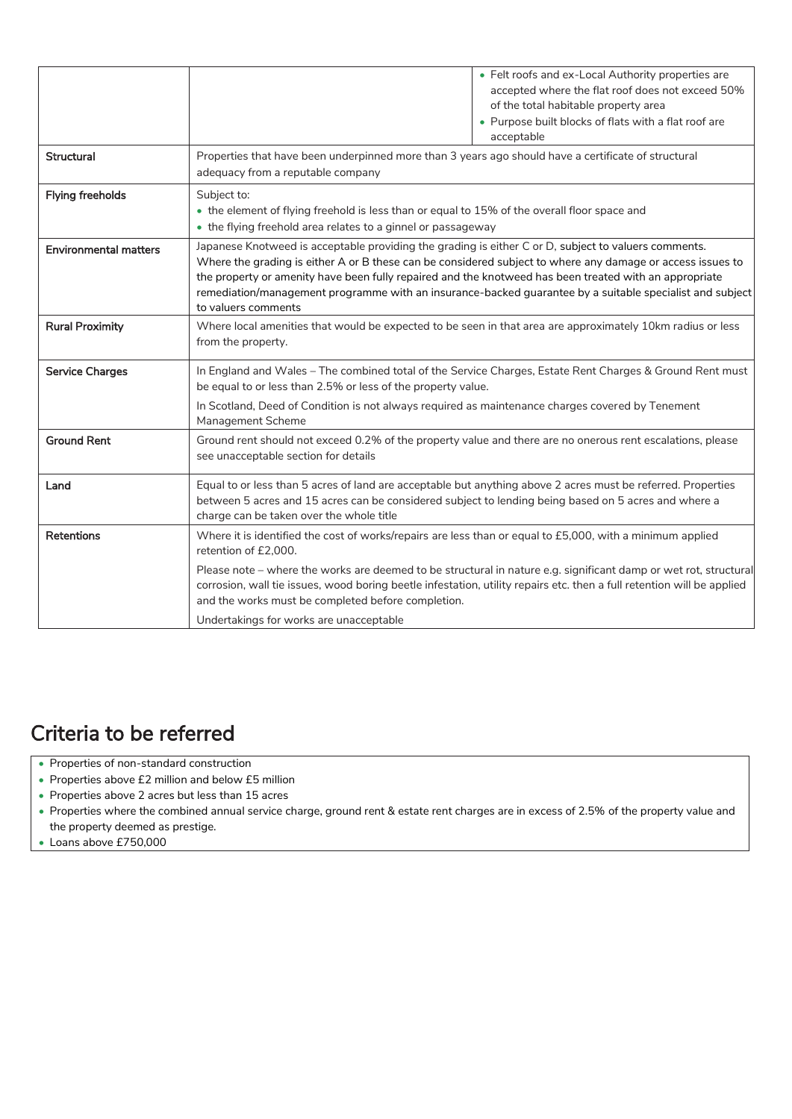|                              | • Felt roofs and ex-Local Authority properties are<br>accepted where the flat roof does not exceed 50%<br>of the total habitable property area<br>• Purpose built blocks of flats with a flat roof are<br>acceptable                                                                                                                                                                                                                                            |  |
|------------------------------|-----------------------------------------------------------------------------------------------------------------------------------------------------------------------------------------------------------------------------------------------------------------------------------------------------------------------------------------------------------------------------------------------------------------------------------------------------------------|--|
| <b>Structural</b>            | Properties that have been underpinned more than 3 years ago should have a certificate of structural<br>adequacy from a reputable company                                                                                                                                                                                                                                                                                                                        |  |
| <b>Flying freeholds</b>      | Subject to:<br>• the element of flying freehold is less than or equal to 15% of the overall floor space and<br>• the flying freehold area relates to a ginnel or passageway                                                                                                                                                                                                                                                                                     |  |
| <b>Environmental matters</b> | Japanese Knotweed is acceptable providing the grading is either C or D, subject to valuers comments.<br>Where the grading is either A or B these can be considered subject to where any damage or access issues to<br>the property or amenity have been fully repaired and the knotweed has been treated with an appropriate<br>remediation/management programme with an insurance-backed guarantee by a suitable specialist and subject<br>to valuers comments |  |
| <b>Rural Proximity</b>       | Where local amenities that would be expected to be seen in that area are approximately 10km radius or less<br>from the property.                                                                                                                                                                                                                                                                                                                                |  |
| <b>Service Charges</b>       | In England and Wales - The combined total of the Service Charges, Estate Rent Charges & Ground Rent must<br>be equal to or less than 2.5% or less of the property value.<br>In Scotland, Deed of Condition is not always required as maintenance charges covered by Tenement                                                                                                                                                                                    |  |
|                              | Management Scheme                                                                                                                                                                                                                                                                                                                                                                                                                                               |  |
| <b>Ground Rent</b>           | Ground rent should not exceed 0.2% of the property value and there are no onerous rent escalations, please<br>see unacceptable section for details                                                                                                                                                                                                                                                                                                              |  |
| Land                         | Equal to or less than 5 acres of land are acceptable but anything above 2 acres must be referred. Properties<br>between 5 acres and 15 acres can be considered subject to lending being based on 5 acres and where a<br>charge can be taken over the whole title                                                                                                                                                                                                |  |
| Retentions                   | Where it is identified the cost of works/repairs are less than or equal to £5,000, with a minimum applied<br>retention of £2,000.                                                                                                                                                                                                                                                                                                                               |  |
|                              | Please note - where the works are deemed to be structural in nature e.g. significant damp or wet rot, structural<br>corrosion, wall tie issues, wood boring beetle infestation, utility repairs etc. then a full retention will be applied<br>and the works must be completed before completion.                                                                                                                                                                |  |
|                              | Undertakings for works are unacceptable                                                                                                                                                                                                                                                                                                                                                                                                                         |  |

### Criteria to be referred

- Properties of non-standard construction
- Properties above £2 million and below £5 million
- Properties above 2 acres but less than 15 acres
- Properties where the combined annual service charge, ground rent & estate rent charges are in excess of 2.5% of the property value and the property deemed as prestige.
- Loans above £750,000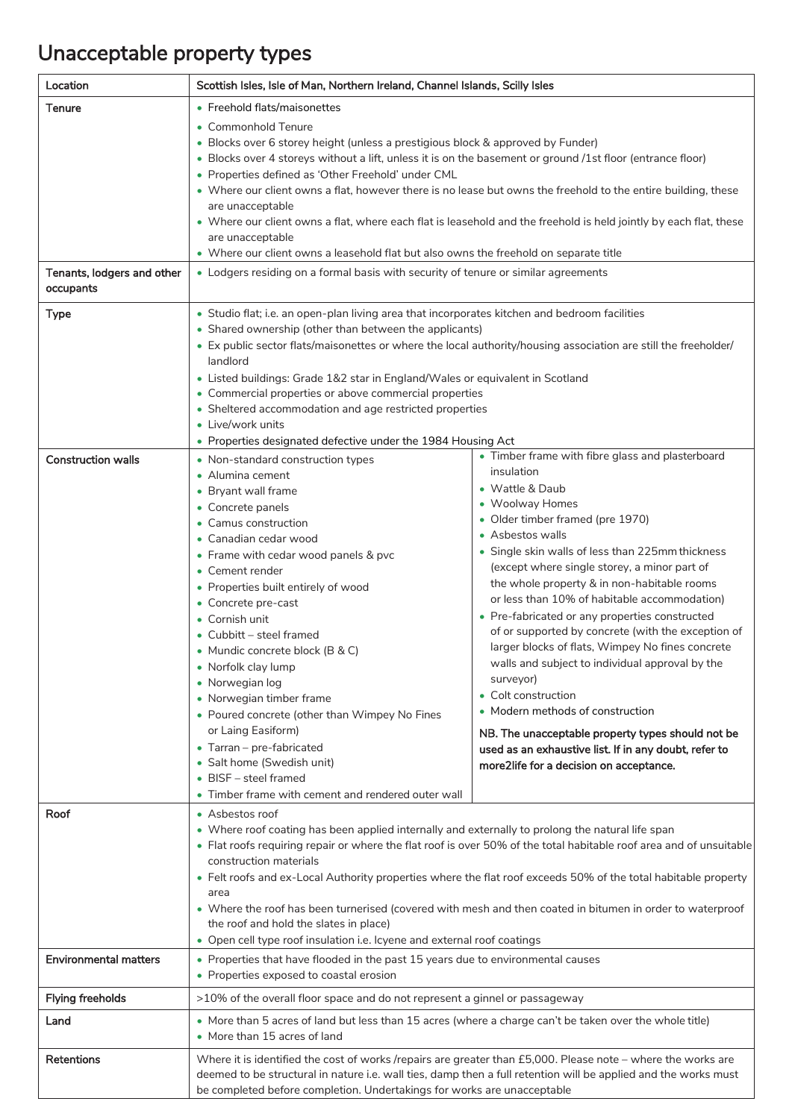### Unacceptable property types

| Location                     | Scottish Isles, Isle of Man, Northern Ireland, Channel Islands, Scilly Isles                                                      |                                                                                                                     |  |
|------------------------------|-----------------------------------------------------------------------------------------------------------------------------------|---------------------------------------------------------------------------------------------------------------------|--|
| Tenure                       | • Freehold flats/maisonettes                                                                                                      |                                                                                                                     |  |
|                              | • Commonhold Tenure                                                                                                               |                                                                                                                     |  |
|                              | • Blocks over 6 storey height (unless a prestigious block & approved by Funder)                                                   |                                                                                                                     |  |
|                              | • Blocks over 4 storeys without a lift, unless it is on the basement or ground /1st floor (entrance floor)                        |                                                                                                                     |  |
|                              | • Properties defined as 'Other Freehold' under CML                                                                                |                                                                                                                     |  |
|                              | . Where our client owns a flat, however there is no lease but owns the freehold to the entire building, these<br>are unacceptable |                                                                                                                     |  |
|                              |                                                                                                                                   | • Where our client owns a flat, where each flat is leasehold and the freehold is held jointly by each flat, these   |  |
|                              | are unacceptable                                                                                                                  |                                                                                                                     |  |
|                              | • Where our client owns a leasehold flat but also owns the freehold on separate title                                             |                                                                                                                     |  |
| Tenants, lodgers and other   | • Lodgers residing on a formal basis with security of tenure or similar agreements                                                |                                                                                                                     |  |
| occupants                    |                                                                                                                                   |                                                                                                                     |  |
| <b>Type</b>                  | • Studio flat; i.e. an open-plan living area that incorporates kitchen and bedroom facilities                                     |                                                                                                                     |  |
|                              | • Shared ownership (other than between the applicants)                                                                            |                                                                                                                     |  |
|                              | • Ex public sector flats/maisonettes or where the local authority/housing association are still the freeholder/                   |                                                                                                                     |  |
|                              | landlord                                                                                                                          |                                                                                                                     |  |
|                              | • Listed buildings: Grade 1&2 star in England/Wales or equivalent in Scotland                                                     |                                                                                                                     |  |
|                              | • Commercial properties or above commercial properties<br>• Sheltered accommodation and age restricted properties                 |                                                                                                                     |  |
|                              | • Live/work units                                                                                                                 |                                                                                                                     |  |
|                              | • Properties designated defective under the 1984 Housing Act                                                                      |                                                                                                                     |  |
| <b>Construction walls</b>    | • Non-standard construction types                                                                                                 | • Timber frame with fibre glass and plasterboard                                                                    |  |
|                              | • Alumina cement                                                                                                                  | insulation                                                                                                          |  |
|                              | • Bryant wall frame                                                                                                               | • Wattle & Daub                                                                                                     |  |
|                              | • Concrete panels                                                                                                                 | • Woolway Homes<br>• Older timber framed (pre 1970)                                                                 |  |
|                              | • Camus construction                                                                                                              | • Asbestos walls                                                                                                    |  |
|                              | • Canadian cedar wood                                                                                                             | • Single skin walls of less than 225mm thickness                                                                    |  |
|                              | • Frame with cedar wood panels & pvc<br>• Cement render                                                                           | (except where single storey, a minor part of                                                                        |  |
|                              | • Properties built entirely of wood                                                                                               | the whole property & in non-habitable rooms                                                                         |  |
|                              | • Concrete pre-cast                                                                                                               | or less than 10% of habitable accommodation)                                                                        |  |
|                              | • Cornish unit                                                                                                                    | • Pre-fabricated or any properties constructed                                                                      |  |
|                              | • Cubbitt - steel framed                                                                                                          | of or supported by concrete (with the exception of                                                                  |  |
|                              | • Mundic concrete block (B & C)                                                                                                   | larger blocks of flats, Wimpey No fines concrete<br>walls and subject to individual approval by the                 |  |
|                              | • Norfolk clay lump                                                                                                               | surveyor)                                                                                                           |  |
|                              | • Norwegian log<br>• Norwegian timber frame                                                                                       | • Colt construction                                                                                                 |  |
|                              | • Poured concrete (other than Wimpey No Fines                                                                                     | • Modern methods of construction                                                                                    |  |
|                              | or Laing Easiform)                                                                                                                | NB. The unacceptable property types should not be                                                                   |  |
|                              | • Tarran - pre-fabricated                                                                                                         | used as an exhaustive list. If in any doubt, refer to                                                               |  |
|                              | • Salt home (Swedish unit)                                                                                                        | more2life for a decision on acceptance.                                                                             |  |
|                              | • BISF - steel framed                                                                                                             |                                                                                                                     |  |
|                              | • Timber frame with cement and rendered outer wall                                                                                |                                                                                                                     |  |
| Roof                         | • Asbestos roof                                                                                                                   |                                                                                                                     |  |
|                              | • Where roof coating has been applied internally and externally to prolong the natural life span                                  | • Flat roofs requiring repair or where the flat roof is over 50% of the total habitable roof area and of unsuitable |  |
|                              | construction materials                                                                                                            |                                                                                                                     |  |
|                              |                                                                                                                                   | • Felt roofs and ex-Local Authority properties where the flat roof exceeds 50% of the total habitable property      |  |
|                              | area                                                                                                                              |                                                                                                                     |  |
|                              |                                                                                                                                   | • Where the roof has been turnerised (covered with mesh and then coated in bitumen in order to waterproof           |  |
|                              | the roof and hold the slates in place)                                                                                            |                                                                                                                     |  |
|                              | • Open cell type roof insulation i.e. Icyene and external roof coatings                                                           |                                                                                                                     |  |
| <b>Environmental matters</b> | • Properties that have flooded in the past 15 years due to environmental causes                                                   |                                                                                                                     |  |
|                              | • Properties exposed to coastal erosion                                                                                           |                                                                                                                     |  |
| <b>Flying freeholds</b>      | >10% of the overall floor space and do not represent a ginnel or passageway                                                       |                                                                                                                     |  |
| Land                         | • More than 5 acres of land but less than 15 acres (where a charge can't be taken over the whole title)                           |                                                                                                                     |  |
|                              | • More than 15 acres of land                                                                                                      |                                                                                                                     |  |
| Retentions                   | Where it is identified the cost of works /repairs are greater than £5,000. Please note - where the works are                      |                                                                                                                     |  |
|                              | deemed to be structural in nature i.e. wall ties, damp then a full retention will be applied and the works must                   |                                                                                                                     |  |
|                              | be completed before completion. Undertakings for works are unacceptable                                                           |                                                                                                                     |  |